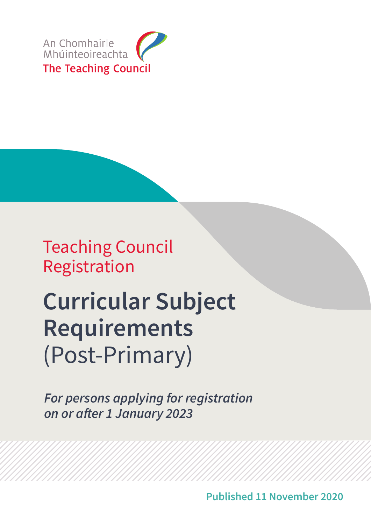

Teaching Council Registration

# **Curricular Subject Requirements** (Post-Primary)

*For persons applying for registration* **on or after 1 January 2023**

**Published 11 November 2020**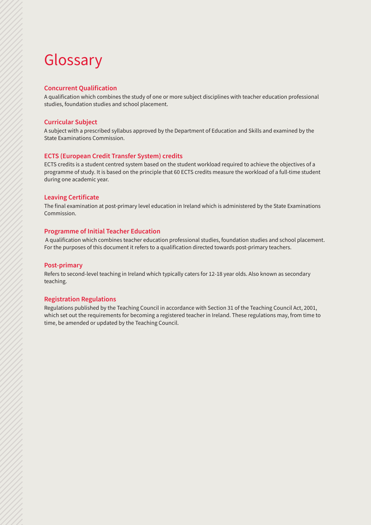### Glossary

### **Concurrent Qualification**

A qualification which combines the study of one or more subject disciplines with teacher education professional studies, foundation studies and school placement.

#### **Curricular Subject**

A subject with a prescribed syllabus approved by the Department of Education and Skills and examined by the State Examinations Commission.

#### **ECTS (European Credit Transfer System) credits**

ECTS credits is a student centred system based on the student workload required to achieve the objectives of a programme of study. It is based on the principle that 60 ECTS credits measure the workload of a full-time student during one academic year.

#### **Leaving Certificate**

The final examination at post-primary level education in Ireland which is administered by the State Examinations Commission.

#### **Programme of Initial Teacher Education**

 A qualification which combines teacher education professional studies, foundation studies and school placement. For the purposes of this document it refers to a qualification directed towards post-primary teachers.

#### **Post-primary**

Refers to second-level teaching in Ireland which typically caters for 12-18 year olds. Also known as secondary teaching.

#### **Registration Regulations**

Regulations published by the Teaching Council in accordance with Section 31 of the Teaching Council Act, 2001, which set out the requirements for becoming a registered teacher in Ireland. These regulations may, from time to time, be amended or updated by the Teaching Council.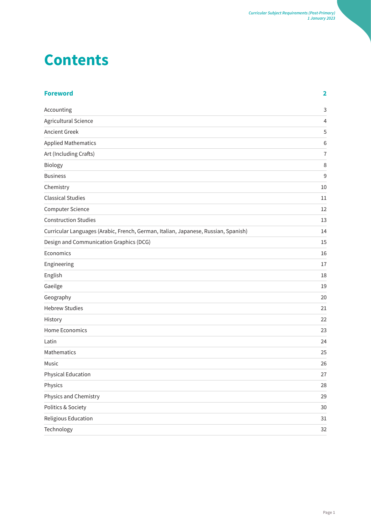### **Contents**

| <b>Foreword</b>                                                                    | $\overline{\mathbf{2}}$ |
|------------------------------------------------------------------------------------|-------------------------|
| Accounting                                                                         | $\mathsf{3}$            |
| Agricultural Science                                                               | $\overline{4}$          |
| <b>Ancient Greek</b>                                                               | 5                       |
| <b>Applied Mathematics</b>                                                         | 6                       |
| Art (Including Crafts)                                                             | $\overline{1}$          |
| Biology                                                                            | 8                       |
| <b>Business</b>                                                                    | $\overline{9}$          |
| Chemistry                                                                          | 10                      |
| <b>Classical Studies</b>                                                           | 11                      |
| <b>Computer Science</b>                                                            | 12                      |
| <b>Construction Studies</b>                                                        | 13                      |
| Curricular Languages (Arabic, French, German, Italian, Japanese, Russian, Spanish) | 14                      |
| Design and Communication Graphics (DCG)                                            | 15                      |
| Economics                                                                          | 16                      |
| Engineering                                                                        | 17                      |
| English                                                                            | 18                      |
| Gaeilge                                                                            | 19                      |
| Geography                                                                          | 20                      |
| <b>Hebrew Studies</b>                                                              | 21                      |
| History                                                                            | 22                      |
| <b>Home Economics</b>                                                              | 23                      |
| Latin                                                                              | 24                      |
| Mathematics                                                                        | 25                      |
| Music                                                                              | 26                      |
| Physical Education                                                                 | 27                      |
| Physics                                                                            | 28                      |
| Physics and Chemistry                                                              | 29                      |
| Politics & Society                                                                 | 30                      |
| Religious Education                                                                | 31                      |
| Technology                                                                         | 32                      |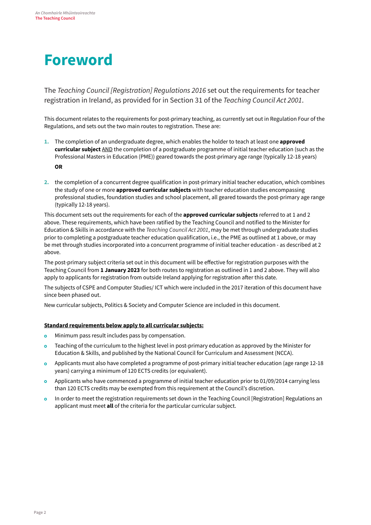### **Foreword**

The *Teaching Council [Registration] Regulations 2016* set out the requirements for teacher registration in Ireland, as provided for in Section 31 of the *Teaching Council Act 2001*.

This document relates to the requirements for post-primary teaching, as currently set out in Regulation Four of the Regulations, and sets out the two main routes to registration. These are:

- **1.** The completion of an undergraduate degree, which enables the holder to teach at least one **approved curricular subject** AND the completion of a postgraduate programme of initial teacher education (such as the Professional Masters in Education (PME)) geared towards the post-primary age range (typically 12-18 years) **OR**
- **2.** the completion of a concurrent degree qualification in post-primary initial teacher education, which combines the study of one or more **approved curricular subjects** with teacher education studies encompassing professional studies, foundation studies and school placement, all geared towards the post-primary age range (typically 12-18 years).

This document sets out the requirements for each of the **approved curricular subjects** referred to at 1 and 2 above. These requirements, which have been ratified by the Teaching Council and notified to the Minister for Education & Skills in accordance with the *Teaching Council Act 2001*, may be met through undergraduate studies prior to completing a postgraduate teacher education qualification, i.e., the PME as outlined at 1 above, or may be met through studies incorporated into a concurrent programme of initial teacher education - as described at 2 above.

The post-primary subject criteria set out in this document will be effective for registration purposes with the Teaching Council from **1 January 2023** for both routes to registration as outlined in 1 and 2 above. They will also apply to applicants for registration from outside Ireland applying for registration after this date.

The subjects of CSPE and Computer Studies/ ICT which were included in the 2017 iteration of this document have since been phased out.

New curricular subjects, Politics & Society and Computer Science are included in this document.

#### **Standard requirements below apply to all curricular subjects:**

- Minimum pass result includes pass by compensation.  $\circ$
- Teaching of the curriculum to the highest level in post-primary education as approved by the Minister for  $\circ$ Education & Skills, and published by the National Council for Curriculum and Assessment (NCCA).
- Applicants must also have completed a programme of post-primary initial teacher education (age range 12-18  $\circ$ years) carrying a minimum of 120 ECTS credits (or equivalent).
- Applicants who have commenced a programme of initial teacher education prior to 01/09/2014 carrying less than 120 ECTS credits may be exempted from this requirement at the Council's discretion.
- In order to meet the registration requirements set down in the Teaching Council [Registration] Regulations an applicant must meet **all** of the criteria for the particular curricular subject.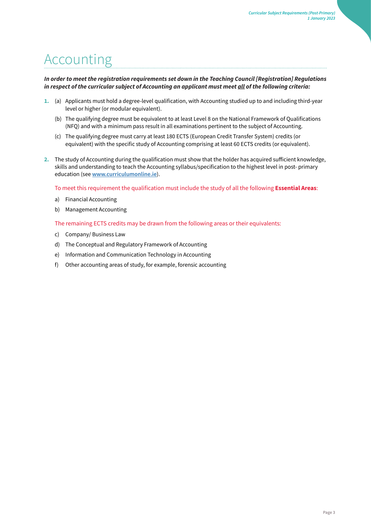### <span id="page-4-0"></span>Accounting

### *In order to meet the registration requirements set down in the [Teaching Council \[Registration\] Regulations](http://www.teachingcouncil.ie/_fileupload/TC_Legislation/Registration_Regulations_2009_90665047.pdf) [in](http://www.teachingcouncil.ie/_fileupload/TC_Legislation/Registration_Regulations_2009_90665047.pdf) [re](http://www.teachingcouncil.ie/_fileupload/TC_Legislation/Registration_Regulations_2009_90665047.pdf)spect of the curricular subject of Accounting an applicant must meet all of the following criteria:*

- **1.** (a) Applicants must hold a degree-level qualification, with Accounting studied up to and including third-year level or higher (or modular equivalent).
	- (b) The qualifying degree must be equivalent to at least Level 8 on the National Framework of Qualifications (NFQ) and with a minimum pass result in all examinations pertinent to the subject of Accounting.
	- (c) The qualifying degree must carry at least 180 ECTS (European Credit Transfer System) credits (or equivalent) with the specific study of Accounting comprising at least 60 ECTS credits (or equivalent).
- **2.** The study of Accounting during the qualification must show that the holder has acquired sufficient knowledge, skills and understanding to teach the Accounting syllabus/specification to the highest level in post- primary education (see **[www.curriculumonline.ie](http://www.curriculumonline.ie/)**[\)](http://www.curriculumonline.ie/)[.](http://www.curriculumonline.ie/)

To meet this requirement the qualification must include the study of all the following **Essential Areas**:

- a) Financial Accounting
- b) Management Accounting

The remaining ECTS credits may be drawn from the following areas or their equivalents:

- c) Company/ Business Law
- d) The Conceptual and Regulatory Framework of Accounting
- e) Information and Communication Technology in Accounting
- f) Other accounting areas of study, for example, forensic accounting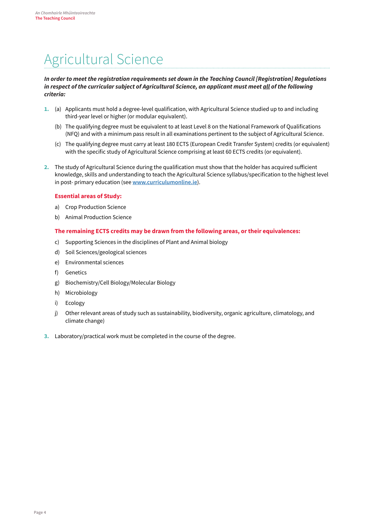### <span id="page-5-0"></span>Agricultural Science

#### *In order to meet the registration requirements set down in the [Teaching Council \[Registration\] Regulations](http://www.teachingcouncil.ie/_fileupload/TC_Legislation/Registration_Regulations_2009_90665047.pdf)  [in](http://www.teachingcouncil.ie/_fileupload/TC_Legislation/Registration_Regulations_2009_90665047.pdf) [re](http://www.teachingcouncil.ie/_fileupload/TC_Legislation/Registration_Regulations_2009_90665047.pdf)spect of the curricular subject of Agricultural Science, an applicant must meet all of the following criteria:*

- **1.** (a) Applicants must hold a degree-level qualification, with Agricultural Science studied up to and including third-year level or higher (or modular equivalent).
	- (b) The qualifying degree must be equivalent to at least Level 8 on the National Framework of Qualifications (NFQ) and with a minimum pass result in all examinations pertinent to the subject of Agricultural Science.
	- (c) The qualifying degree must carry at least 180 ECTS (European Credit Transfer System) credits (or equivalent) with the specific study of Agricultural Science comprising at least 60 ECTS credits (or equivalent).
- **2.** The study of Agricultural Science during the qualification must show that the holder has acquired sufficient knowledge, skills and understanding to teach the Agricultural Science syllabus/specification to the highest level in post- primary education (see **[www.curriculumonline.ie](http://www.curriculumonline.ie/)**[\)](http://www.curriculumonline.ie/)[.](http://www.curriculumonline.ie/)

### **Essential areas of Study:**

- a) Crop Production Science
- b) Animal Production Science

#### **The remaining ECTS credits may be drawn from the following areas, or their equivalences:**

- c) Supporting Sciences in the disciplines of Plant and Animal biology
- d) Soil Sciences/geological sciences
- e) Environmental sciences
- f) Genetics
- g) Biochemistry/Cell Biology/Molecular Biology
- h) Microbiology
- i) Ecology
- j) Other relevant areas of study such as sustainability, biodiversity, organic agriculture, climatology, and climate change)
- **3.** Laboratory/practical work must be completed in the course of the degree.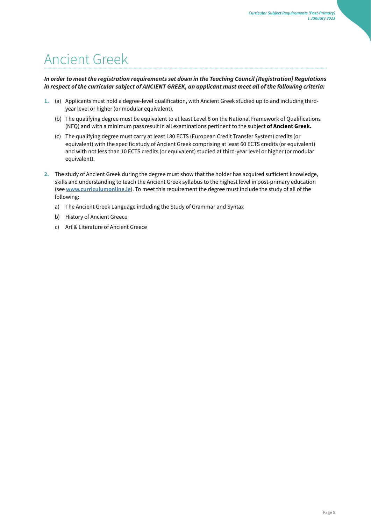### <span id="page-6-0"></span>Ancient Greek

### *In order to meet the registration requirements set down in the [Teaching Council \[Registration\] Regulations](http://www.teachingcouncil.ie/_fileupload/TC_Legislation/Registration_Regulations_2009_90665047.pdf) [in](http://www.teachingcouncil.ie/_fileupload/TC_Legislation/Registration_Regulations_2009_90665047.pdf) [re](http://www.teachingcouncil.ie/_fileupload/TC_Legislation/Registration_Regulations_2009_90665047.pdf)spect of the curricular subject of ANCIENT GREEK, an applicant must meet all of the following criteria:*

- **1.** (a) Applicants must hold a degree-level qualification, with Ancient Greek studied up to and including thirdyear level or higher (or modular equivalent).
	- (b) The qualifying degree must be equivalent to at least Level 8 on the National Framework of Qualifications (NFQ) and with a minimum pass result in all examinations pertinent to the subject **of Ancient Greek.**
	- (c) The qualifying degree must carry at least 180 ECTS (European Credit Transfer System) credits (or equivalent) with the specific study of Ancient Greek comprising at least 60 ECTS credits (or equivalent) and with not less than 10 ECTS credits (or equivalent) studied at third-year level or higher (or modular equivalent).
- **2.** The study of Ancient Greek during the degree must show that the holder has acquired sufficient knowledge, skills and understanding to teach the Ancient Greek syllabus to the highest level in post-primary education (see **[www.curriculumonline.ie](http://www.curriculumonline.ie/)**[\)](http://www.curriculumonline.ie/)[.](http://www.curriculumonline.ie/) [T](http://www.curriculumonline.ie/)o meet this requirement the degree must include the study of all of the following:
	- a) The Ancient Greek Language including the Study of Grammar and Syntax
	- b) History of Ancient Greece
	- c) Art & Literature of Ancient Greece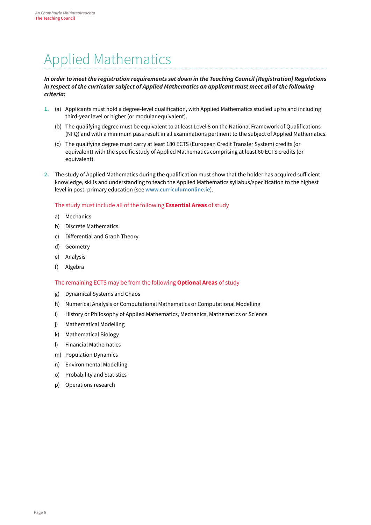### <span id="page-7-0"></span>Applied Mathematics

#### *In order to meet the registration requirements set down in the [Teaching Council \[Registration\] Regulations](http://www.teachingcouncil.ie/_fileupload/TC_Legislation/Registration_Regulations_2009_90665047.pdf) [in](http://www.teachingcouncil.ie/_fileupload/TC_Legislation/Registration_Regulations_2009_90665047.pdf) [re](http://www.teachingcouncil.ie/_fileupload/TC_Legislation/Registration_Regulations_2009_90665047.pdf)spect of the curricular subject of Applied Mathematics an applicant must meet all of the following criteria:*

- **1.** (a) Applicants must hold a degree-level qualification, with Applied Mathematics studied up to and including third-year level or higher (or modular equivalent).
	- (b) The qualifying degree must be equivalent to at least Level 8 on the National Framework of Qualifications (NFQ) and with a minimum pass result in all examinations pertinent to the subject of Applied Mathematics.
	- (c) The qualifying degree must carry at least 180 ECTS (European Credit Transfer System) credits (or equivalent) with the specific study of Applied Mathematics comprising at least 60 ECTS credits (or equivalent).
- **2.** The study of Applied Mathematics during the qualification must show that the holder has acquired sufficient knowledge, skills and understanding to teach the Applied Mathematics syllabus/specification to the highest level in post- primary education (see **[www.curriculumonline.ie](http://www.curriculumonline.ie/)**[\)](http://www.curriculumonline.ie/)[.](http://www.curriculumonline.ie/)

### The study must include all of the following **Essential Areas** of study

- a) Mechanics
- b) Discrete Mathematics
- c) Differential and Graph Theory
- d) Geometry
- e) Analysis
- f) Algebra

#### The remaining ECTS may be from the following **Optional Areas** of study

- g) Dynamical Systems and Chaos
- h) Numerical Analysis or Computational Mathematics or Computational Modelling
- i) History or Philosophy of Applied Mathematics, Mechanics, Mathematics or Science
- j) Mathematical Modelling
- k) Mathematical Biology
- l) Financial Mathematics
- m) Population Dynamics
- n) Environmental Modelling
- o) Probability and Statistics
- p) Operations research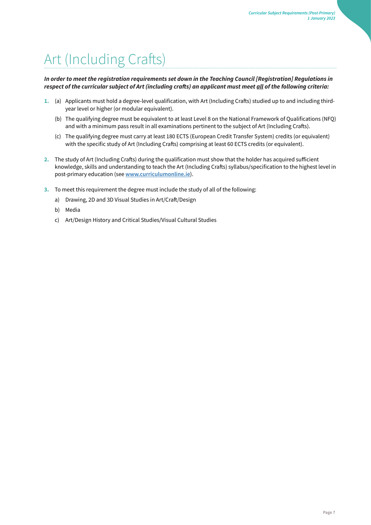# <span id="page-8-0"></span>Art (Including Crafts)

*In order to meet the registration requirements set down in the [Teaching Council \[Registration\] Regulations in](http://www.teachingcouncil.ie/_fileupload/TC_Legislation/Registration_Regulations_2009_90665047.pdf) [r](http://www.teachingcouncil.ie/_fileupload/TC_Legislation/Registration_Regulations_2009_90665047.pdf)***espect of the curricular subject of Art (including crafts) an applicant must meet** *all of the following criteria:* 

- **1.** (a) Applicants must hold a degree-level qualification, with Art (Including Crafts) studied up to and including thirdyear level or higher (or modular equivalent).
	- (b) The qualifying degree must be equivalent to at least Level 8 on the National Framework of Qualifications (NFQ) and with a minimum pass result in all examinations pertinent to the subject of Art (Including Crafts).
	- (c) The qualifying degree must carry at least 180 ECTS (European Credit Transfer System) credits (or equivalent) with the specific study of Art (Including Crafts) comprising at least 60 ECTS credits (or equivalent).
- **2.** The study of Art (Including Crafts) during the qualification must show that the holder has acquired sufficient knowledge, skills and understanding to teach the Art (Including Crafts) syllabus/specification to the highest level in post-primary education (see **[www.curriculumonline.ie](http://www.curriculumonline.ie/)**[\)](http://www.curriculumonline.ie/)[.](http://www.curriculumonline.ie/)
- **3.** To meet this requirement the degree must include the study of all of the following:
	- a) Drawing, 2D and 3D Visual Studies in Art/Craft/Design
	- b) Media
	- c) Art/Design History and Critical Studies/Visual Cultural Studies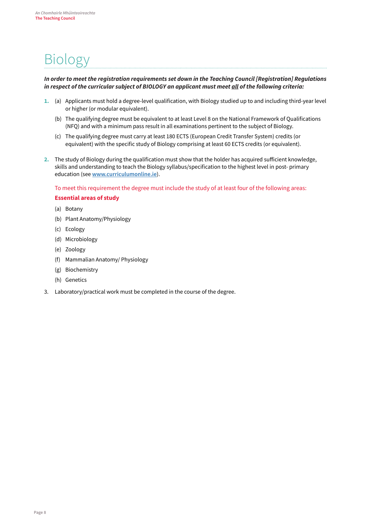### <span id="page-9-0"></span>Biology

### *In order to meet the registration requirements set down in the [Teaching Council \[Registration\] Regulations](http://www.teachingcouncil.ie/_fileupload/TC_Legislation/Registration_Regulations_2009_90665047.pdf) [in](http://www.teachingcouncil.ie/_fileupload/TC_Legislation/Registration_Regulations_2009_90665047.pdf) [re](http://www.teachingcouncil.ie/_fileupload/TC_Legislation/Registration_Regulations_2009_90665047.pdf)spect of the curricular subject of BIOLOGY an applicant must meet all of the following criteria:*

- **1.** (a) Applicants must hold a degree-level qualification, with Biology studied up to and including third-year level or higher (or modular equivalent).
	- (b) The qualifying degree must be equivalent to at least Level 8 on the National Framework of Qualifications (NFQ) and with a minimum pass result in all examinations pertinent to the subject of Biology.
	- (c) The qualifying degree must carry at least 180 ECTS (European Credit Transfer System) credits (or equivalent) with the specific study of Biology comprising at least 60 ECTS credits (or equivalent).
- **2.** The study of Biology during the qualification must show that the holder has acquired sufficient knowledge, skills and understanding to teach the Biology syllabus/specification to the highest level in post- primary education (see **[www.curriculumonline.ie](http://www.curriculumonline.ie/)**[\)](http://www.curriculumonline.ie/)[.](http://www.curriculumonline.ie/)

To meet this requirement the degree must include the study of at least four of the following areas: **Essential areas of study** 

- (a) Botany
- (b) Plant Anatomy/Physiology
- (c) Ecology
- (d) Microbiology
- (e) Zoology
- (f) Mammalian Anatomy/ Physiology
- (g) Biochemistry
- (h) Genetics
- 3. Laboratory/practical work must be completed in the course of the degree.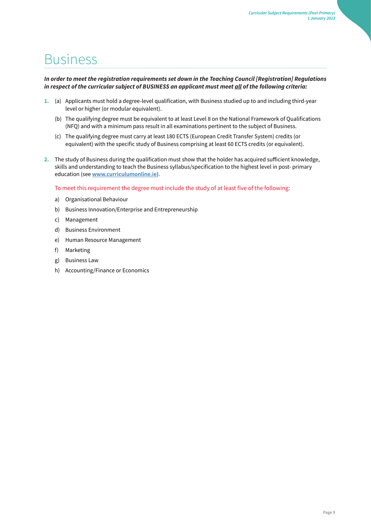### <span id="page-10-0"></span>Business

### *In order to meet the registration requirements set down in the [Teaching Council \[Registration\] Regulations](http://www.teachingcouncil.ie/_fileupload/TC_Legislation/Registration_Regulations_2009_90665047.pdf) [in](http://www.teachingcouncil.ie/_fileupload/TC_Legislation/Registration_Regulations_2009_90665047.pdf) [re](http://www.teachingcouncil.ie/_fileupload/TC_Legislation/Registration_Regulations_2009_90665047.pdf)spect of the curricular subject of BUSINESS an applicant must meet all of the following criteria:*

- **1.** (a) Applicants must hold a degree-level qualification, with Business studied up to and including third-year level or higher (or modular equivalent).
	- (b) The qualifying degree must be equivalent to at least Level 8 on the National Framework of Qualifications (NFQ) and with a minimum pass result in all examinations pertinent to the subject of Business.
	- (c) The qualifying degree must carry at least 180 ECTS (European Credit Transfer System) credits (or equivalent) with the specific study of Business comprising at least 60 ECTS credits (or equivalent).
- **2.** The study of Business during the qualification must show that the holder has acquired sufficient knowledge, skills and understanding to teach the Business syllabus/specification to the highest level in post- primary education (see **[www.curriculumonline.ie](http://www.curriculumonline.ie/)**[\)](http://www.curriculumonline.ie/)[.](http://www.curriculumonline.ie/)

To meet this requirement the degree must include the study of at least five of the following:

- a) Organisational Behaviour
- b) Business Innovation/Enterprise and Entrepreneurship
- c) Management
- d) Business Environment
- e) Human Resource Management
- f) Marketing
- g) Business Law
- h) Accounting/Finance or Economics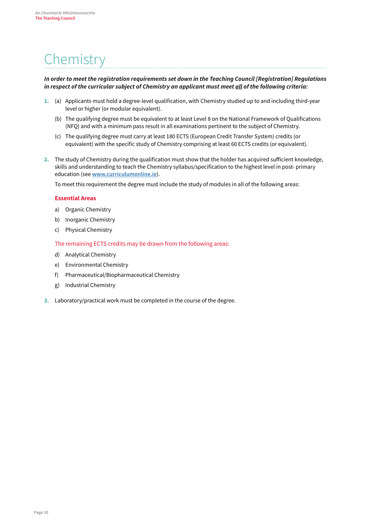# <span id="page-11-0"></span>**Chemistry**

### *In order to meet the registration requirements set down in the [Teaching Council \[Registration\] Regulations](http://www.teachingcouncil.ie/_fileupload/TC_Legislation/Registration_Regulations_2009_90665047.pdf) [in](http://www.teachingcouncil.ie/_fileupload/TC_Legislation/Registration_Regulations_2009_90665047.pdf) [re](http://www.teachingcouncil.ie/_fileupload/TC_Legislation/Registration_Regulations_2009_90665047.pdf)spect of the curricular subject of Chemistry an applicant must meet all of the following criteria:*

- **1.** (a) Applicants must hold a degree-level qualification, with Chemistry studied up to and including third-year level or higher (or modular equivalent).
	- (b) The qualifying degree must be equivalent to at least Level 8 on the National Framework of Qualifications (NFQ) and with a minimum pass result in all examinations pertinent to the subject of Chemistry.
	- (c) The qualifying degree must carry at least 180 ECTS (European Credit Transfer System) credits (or equivalent) with the specific study of Chemistry comprising at least 60 ECTS credits (or equivalent).
- **2.** The study of Chemistry during the qualification must show that the holder has acquired sufficient knowledge, skills and understanding to teach the Chemistry syllabus/specification to the highest level in post- primary education (see **[www.curriculumonline.ie](http://www.curriculumonline.ie/)**[\)](http://www.curriculumonline.ie/)[.](http://www.curriculumonline.ie/)

To meet this requirement the degree must include the study of modules in all of the following areas:

#### **Essential Areas**

- a) Organic Chemistry
- b) Inorganic Chemistry
- c) Physical Chemistry

The remaining ECTS credits may be drawn from the following areas:

- d) Analytical Chemistry
- e) Environmental Chemistry
- f) Pharmaceutical/Biopharmaceutical Chemistry
- g) Industrial Chemistry
- **3.** Laboratory/practical work must be completed in the course of the degree.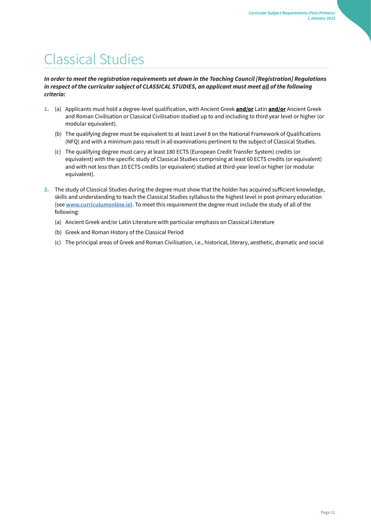### <span id="page-12-0"></span>Classical Studies

### *In order to meet the registration requirements set down in the [Teaching Council \[Registration\] Regulations](http://www.teachingcouncil.ie/_fileupload/TC_Legislation/Registration_Regulations_2009_90665047.pdf) [in](http://www.teachingcouncil.ie/_fileupload/TC_Legislation/Registration_Regulations_2009_90665047.pdf) [re](http://www.teachingcouncil.ie/_fileupload/TC_Legislation/Registration_Regulations_2009_90665047.pdf)spect of the curricular subject of CLASSICAL STUDIES, an applicant must meet all of the following criteria:*

- **1.** (a) Applicants must hold a degree-level qualification, with Ancient Greek **and/or** Latin **and/or** Ancient Greek and Roman Civilisation or Classical Civilisation studied up to and including to third year level or higher (or modular equivalent).
	- (b) The qualifying degree must be equivalent to at least Level 8 on the National Framework of Qualifications (NFQ) and with a minimum pass result in all examinations pertinent to the subject of Classical Studies.
	- (c) The qualifying degree must carry at least 180 ECTS (European Credit Transfer System) credits (or equivalent) with the specific study of Classical Studies comprising at least 60 ECTS credits (or equivalent) and with not less than 10 ECTS credits (or equivalent) studied at third-year level or higher (or modular equivalent).
- **2.** The study of Classical Studies during the degree must show that the holder has acquired sufficient knowledge, skills and understanding to teach the Classical Studies syllabus to the highest level in post-primary education (see **[www.curriculumonline.ie](http://www.curriculumonline.ie/)**[\)](http://www.curriculumonline.ie/)[.](http://www.curriculumonline.ie/) [T](http://www.curriculumonline.ie/)o meet this requirement the degree must include the study of all of the following:
	- (a) Ancient Greek and/or Latin Literature with particular emphasis on Classical Literature
	- (b) Greek and Roman History of the Classical Period
	- (c) The principal areas of Greek and Roman Civilisation, i.e., historical, literary, aesthetic, dramatic and social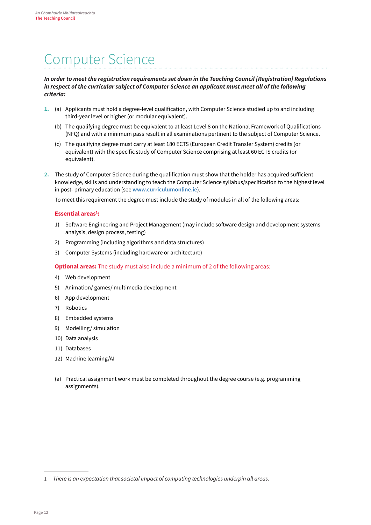### <span id="page-13-0"></span>Computer Science

#### *In order to meet the registration requirements set down in the [Teaching Council \[Registration\] Regulations](http://www.teachingcouncil.ie/_fileupload/TC_Legislation/Registration_Regulations_2009_90665047.pdf) [in](http://www.teachingcouncil.ie/_fileupload/TC_Legislation/Registration_Regulations_2009_90665047.pdf) [re](http://www.teachingcouncil.ie/_fileupload/TC_Legislation/Registration_Regulations_2009_90665047.pdf)spect of the curricular subject of Computer Science an applicant must meet all of the following criteria:*

- **1.** (a) Applicants must hold a degree-level qualification, with Computer Science studied up to and including third-year level or higher (or modular equivalent).
	- (b) The qualifying degree must be equivalent to at least Level 8 on the National Framework of Qualifications (NFQ) and with a minimum pass result in all examinations pertinent to the subject of Computer Science.
	- (c) The qualifying degree must carry at least 180 ECTS (European Credit Transfer System) credits (or equivalent) with the specific study of Computer Science comprising at least 60 ECTS credits (or equivalent).
- **2.** The study of Computer Science during the qualification must show that the holder has acquired sufficient knowledge, skills and understanding to teach the Computer Science syllabus/specification to the highest level in post- primary education (see **[www.curriculumonline.ie](http://www.curriculumonline.ie/)**[\)](http://www.curriculumonline.ie/)[.](http://www.curriculumonline.ie/)

To meet this requirement the degree must include the study of modules in all of the following areas:

#### **Essential areas1 :**

- 1) Software Engineering and Project Management (may include software design and development systems analysis, design process, testing)
- 2) Programming (including algorithms and data structures)
- 3) Computer Systems (including hardware or architecture)

#### **Optional areas:** The study must also include a minimum of 2 of the following areas:

- 4) Web development
- 5) Animation/ games/ multimedia development
- 6) App development
- 7) Robotics
- 8) Embedded systems
- 9) Modelling/ simulation
- 10) Data analysis
- 11) Databases
- 12) Machine learning/AI
- (a) Practical assignment work must be completed throughout the degree course (e.g. programming assignments).

<sup>1</sup> *There is an expectation that societal impact of computing technologies underpin all areas.*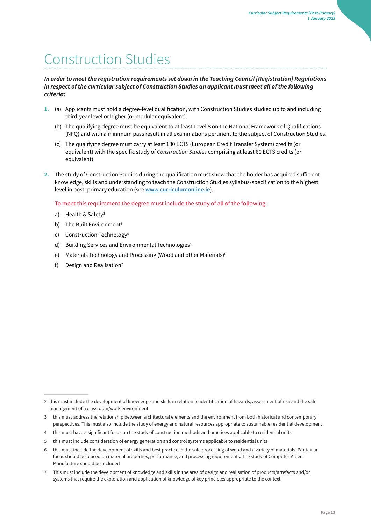# <span id="page-14-0"></span>Construction Studies

### *In order to meet the registration requirements set down in the [Teaching Council \[Registration\] Regulations](http://www.teachingcouncil.ie/_fileupload/TC_Legislation/Registration_Regulations_2009_90665047.pdf) [in](http://www.teachingcouncil.ie/_fileupload/TC_Legislation/Registration_Regulations_2009_90665047.pdf) [re](http://www.teachingcouncil.ie/_fileupload/TC_Legislation/Registration_Regulations_2009_90665047.pdf)spect of the curricular subject of Construction Studies an applicant must meet all of the following criteria:*

- **1.** (a) Applicants must hold a degree-level qualification, with Construction Studies studied up to and including third-year level or higher (or modular equivalent).
	- (b) The qualifying degree must be equivalent to at least Level 8 on the National Framework of Qualifications (NFQ) and with a minimum pass result in all examinations pertinent to the subject of Construction Studies.
	- (c) The qualifying degree must carry at least 180 ECTS (European Credit Transfer System) credits (or equivalent) with the specific study of *Construction Studies* comprising at least 60 ECTS credits (or equivalent).
- **2.** The study of Construction Studies during the qualification must show that the holder has acquired sufficient knowledge, skills and understanding to teach the Construction Studies syllabus/specification to the highest level in post- primary education (see **[www.curriculumonline.ie](http://www.curriculumonline.ie/)**[\)](http://www.curriculumonline.ie/)[.](http://www.curriculumonline.ie/)

To meet this requirement the degree must include the study of all of the following:

- a) Health & Safety<sup>2</sup>
- b) The Built Environment<sup>3</sup>
- c) Construction Technology<sup>4</sup>
- d) Building Services and Environmental Technologies<sup>5</sup>
- e) Materials Technology and Processing (Wood and other Materials)<sup>6</sup>
- f) Design and Realisation<sup>7</sup>

<sup>2</sup> this must include the development of knowledge and skills in relation to identification of hazards, assessment of risk and the safe management of a classroom/work environment

<sup>3</sup> this must address the relationship between architectural elements and the environment from both historical and contemporary perspectives. This must also include the study of energy and natural resources appropriate to sustainable residential development

<sup>4</sup> this must have a significant focus on the study of construction methods and practices applicable to residential units

<sup>5</sup> this must include consideration of energy generation and control systems applicable to residential units

<sup>6</sup> this must include the development of skills and best practice in the safe processing of wood and a variety of materials. Particular focus should be placed on material properties, performance, and processing requirements. The study of Computer-Aided Manufacture should be included

<sup>7</sup> This must include the development of knowledge and skills in the area of design and realisation of products/artefacts and/or systems that require the exploration and application of knowledge of key principles appropriate to the context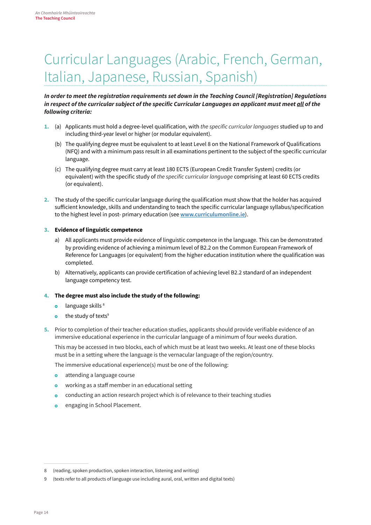### <span id="page-15-0"></span>Curricular Languages (Arabic, French, German, Italian, Japanese, Russian, Spanish)

### *In order to meet the registration requirements set down in the [Teaching Council \[Registration\] Regulations](http://www.teachingcouncil.ie/_fileupload/TC_Legislation/Registration_Regulations_2009_90665047.pdf) [in](http://www.teachingcouncil.ie/_fileupload/TC_Legislation/Registration_Regulations_2009_90665047.pdf) [r](http://www.teachingcouncil.ie/_fileupload/TC_Legislation/Registration_Regulations_2009_90665047.pdf)***espect of the curricular subject of the specific Curricular Languages an applicant must meet** *all of the following criteria:*

- **1.** (a) Applicants must hold a degree-level qualification, with the specific curricular languages studied up to and including third-year level or higher (or modular equivalent).
	- (b) The qualifying degree must be equivalent to at least Level 8 on the National Framework of Qualifications (NFQ) and with a minimum pass result in all examinations pertinent to the subject of the specific curricular language.
	- (c) The qualifying degree must carry at least 180 ECTS (European Credit Transfer System) credits (or equivalent) with the specific study of the specific curricular language comprising at least 60 ECTS credits (or equivalent).
- **2.** The study of the specific curricular language during the qualification must show that the holder has acquired sufficient knowledge, skills and understanding to teach the specific curricular language syllabus/specification to the highest level in post- primary education (see **[www.curriculumonline.ie](http://www.curriculumonline.ie/)**[\)](http://www.curriculumonline.ie/)[.](http://www.curriculumonline.ie/)

### **3. Evidence of linguistic competence**

- a) All applicants must provide evidence of linguistic competence in the language. This can be demonstrated by providing evidence of achieving a minimum level of B2.2 on the Common European Framework of Reference for Languages (or equivalent) from the higher education institution where the qualification was completed.
- b) Alternatively, applicants can provide certification of achieving level B2.2 standard of an independent language competency test.

### **4. The degree must also include the study of the following:**

- language skills<sup>8</sup>  $\bullet$
- the study of texts<sup>9</sup>  $\bullet$
- **5.** Prior to completion of their teacher education studies, applicants should provide verifiable evidence of an immersive educational experience in the curricular language of a minimum of four weeks duration.

This may be accessed in two blocks, each of which must be at least two weeks. At least one of these blocks must be in a setting where the language is the vernacular language of the region/country.

The immersive educational experience(s) must be one of the following:

- attending a language course  $\alpha$
- working as a staff member in an educational setting  $\bullet$
- conducting an action research project which is of relevance to their teaching studies  $\alpha$
- engaging in School Placement.  $\circ$

<sup>8</sup> (reading, spoken production, spoken interaction, listening and writing)

<sup>9</sup> (texts refer to all products of language use including aural, oral, written and digital texts)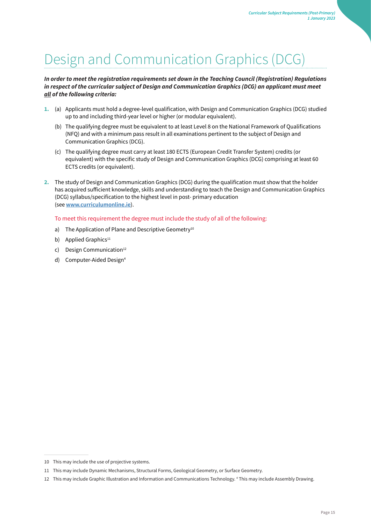### <span id="page-16-0"></span>Design and Communication Graphics (DCG)

### **In order to meet the registration requirements set down in the Teaching Council (Registration) Regulations in respect of the curricular subject of Design and Communication Graphics (DCG) an applicant must meet**  *all of the following criteria:*

- **1.** (a) Applicants must hold a degree-level qualification, with Design and Communication Graphics (DCG) studied up to and including third-year level or higher (or modular equivalent).
	- (b) The qualifying degree must be equivalent to at least Level 8 on the National Framework of Qualifications (NFQ) and with a minimum pass result in all examinations pertinent to the subject of Design and Communication Graphics (DCG).
	- (c) The qualifying degree must carry at least 180 ECTS (European Credit Transfer System) credits (or equivalent) with the specific study of Design and Communication Graphics (DCG) comprising at least 60 ECTS credits (or equivalent).
- **2.** The study of Design and Communication Graphics (DCG) during the qualification must show that the holder has acquired sufficient knowledge, skills and understanding to teach the Design and Communication Graphics (DCG) syllabus/specification to the highest level in post- primary education (see **[www.curriculumonline.ie](http://www.curriculumonline.ie/)**[\)](http://www.curriculumonline.ie/)[.](http://www.curriculumonline.ie/)

#### To meet this requirement the degree must include the study of all of the following:

- a) The Application of Plane and Descriptive Geometry<sup>10</sup>
- b) Applied Graphics $11$
- c) Design Communication $12$
- d) Computer-Aided Design<sup>4</sup>

<sup>10</sup> This may include the use of projective systems.

<sup>11</sup> This may include Dynamic Mechanisms, Structural Forms, Geological Geometry, or Surface Geometry.

<sup>12</sup> This may include Graphic Illustration and Information and Communications Technology. 4 This may include Assembly Drawing.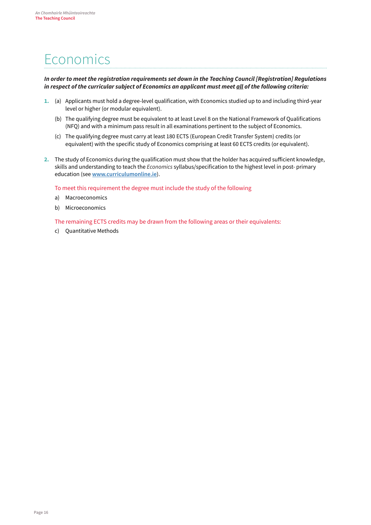### <span id="page-17-0"></span>Economics

#### *In order to meet the registration requirements set down in the [Teaching Council \[Registration\] Regulations](http://www.teachingcouncil.ie/_fileupload/TC_Legislation/Registration_Regulations_2009_90665047.pdf) [in](http://www.teachingcouncil.ie/_fileupload/TC_Legislation/Registration_Regulations_2009_90665047.pdf) [re](http://www.teachingcouncil.ie/_fileupload/TC_Legislation/Registration_Regulations_2009_90665047.pdf)spect of the curricular subject of Economics an applicant must meet all of the following criteria:*

- **1.** (a) Applicants must hold a degree-level qualification, with Economics studied up to and including third-year level or higher (or modular equivalent).
	- (b) The qualifying degree must be equivalent to at least Level 8 on the National Framework of Qualifications (NFQ) and with a minimum pass result in all examinations pertinent to the subject of Economics.
	- (c) The qualifying degree must carry at least 180 ECTS (European Credit Transfer System) credits (or equivalent) with the specific study of Economics comprising at least 60 ECTS credits (or equivalent).
- **2.** The study of Economics during the qualification must show that the holder has acquired sufficient knowledge, skills and understanding to teach the *Economics* syllabus/specification to the highest level in post- primary education (see **[www.curriculumonline.ie](http://www.curriculumonline.ie/)**[\)](http://www.curriculumonline.ie/)[.](http://www.curriculumonline.ie/)

To meet this requirement the degree must include the study of the following

- a) Macroeconomics
- b) Microeconomics

The remaining ECTS credits may be drawn from the following areas or their equivalents:

c) Quantitative Methods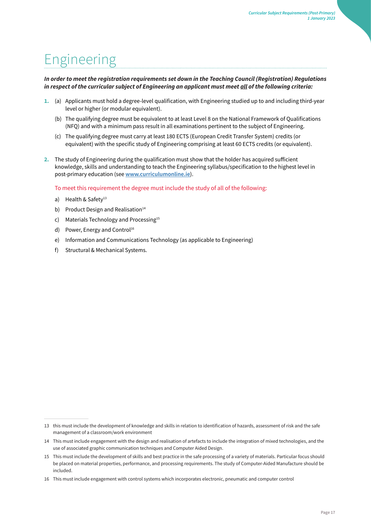### <span id="page-18-0"></span>Engineering

### **In order to meet the registration requirements set down in the Teaching Council (Registration) Regulations**  *in respect of the curricular subject of Engineering an applicant must meet all of the following criteria:*

- **1.** (a) Applicants must hold a degree-level qualification, with Engineering studied up to and including third-year level or higher (or modular equivalent).
	- (b) The qualifying degree must be equivalent to at least Level 8 on the National Framework of Qualifications (NFQ) and with a minimum pass result in all examinations pertinent to the subject of Engineering.
	- (c) The qualifying degree must carry at least 180 ECTS (European Credit Transfer System) credits (or equivalent) with the specific study of Engineering comprising at least 60 ECTS credits (or equivalent).
- **2.** The study of Engineering during the qualification must show that the holder has acquired sufficient knowledge, skills and understanding to teach the Engineering syllabus/specification to the highest level in post-primary education (see **[www.curriculumonline.ie](http://www.curriculumonline.ie/)**[\)](http://www.curriculumonline.ie/)[.](http://www.curriculumonline.ie/)

To meet this requirement the degree must include the study of all of the following:

- a) Health & Safety $13$
- b) Product Design and Realisation<sup>14</sup>
- c) Materials Technology and Processing<sup>15</sup>
- d) Power, Energy and Control<sup>16</sup>
- e) Information and Communications Technology (as applicable to Engineering)
- f) Structural & Mechanical Systems.

<sup>13</sup> this must include the development of knowledge and skills in relation to identification of hazards, assessment of risk and the safe management of a classroom/work environment

<sup>14</sup> This must include engagement with the design and realisation of artefacts to include the integration of mixed technologies, and the use of associated graphic communication techniques and Computer Aided Design.

<sup>15</sup> This must include the development of skills and best practice in the safe processing of a variety of materials. Particular focus should be placed on material properties, performance, and processing requirements. The study of Computer-Aided Manufacture should be included.

<sup>16</sup> This must include engagement with control systems which incorporates electronic, pneumatic and computer control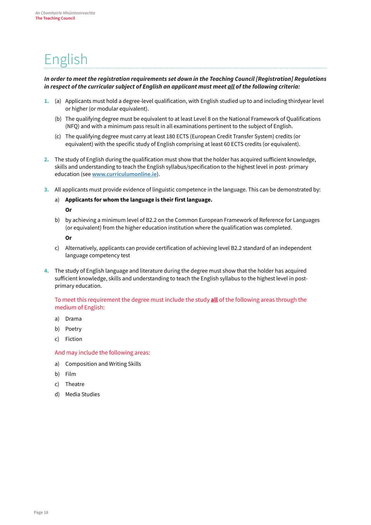### <span id="page-19-0"></span>English

### *In order to meet the registration requirements set down in th[e Teaching Council \[Registration\]](http://www.teachingcouncil.ie/_fileupload/TC_Legislation/Registration_Regulations_2009_90665047.pdf) [Regulations](http://www.teachingcouncil.ie/_fileupload/TC_Legislation/Registration_Regulations_2009_90665047.pdf) [in](http://www.teachingcouncil.ie/_fileupload/TC_Legislation/Registration_Regulations_2009_90665047.pdf) [re](http://www.teachingcouncil.ie/_fileupload/TC_Legislation/Registration_Regulations_2009_90665047.pdf)spect of the curricular subject of English an applicant must meet all of the following criteria:*

- **1.** (a) Applicants must hold a degree-level qualification, with English studied up to and including thirdyear level or higher (or modular equivalent).
	- (b) The qualifying degree must be equivalent to at least Level 8 on the National Framework of Qualifications (NFQ) and with a minimum pass result in all examinations pertinent to the subject of English.
	- (c) The qualifying degree must carry at least 180 ECTS (European Credit Transfer System) credits (or equivalent) with the specific study of English comprising at least 60 ECTS credits (or equivalent).
- **2.** The study of English during the qualification must show that the holder has acquired sufficient knowledge, skills and understanding to teach the English syllabus/specification to the highest level in post- primary education (se[e](http://www.curriculumonline.ie/) **[www.curriculumonline.ie](http://www.curriculumonline.ie/)**[\)](http://www.curriculumonline.ie/)[.](http://www.curriculumonline.ie/)
- **3.** All applicants must provide evidence of linguistic competence in the language. This can be demonstrated by:
	- a) **Applicants for whom the language is their first language. Or**
	- b) by achieving a minimum level of B2.2 on the Common European Framework of Reference for Languages (or equivalent) from the higher education institution where the qualification was completed.

**Or** 

- c) Alternatively, applicants can provide certification of achieving level B2.2 standard of an independent language competency test
- **4.** The study of English language and literature during the degree must show that the holder has acquired sufficient knowledge, skills and understanding to teach the English syllabus to the highest level in postprimary education.

To meet this requirement the degree must include the study **all** of the following areas through the medium of English:

- a) Drama
- b) Poetry
- c) Fiction

#### And may include the following areas:

- a) Composition and Writing Skills
- b) Film
- c) Theatre
- d) Media Studies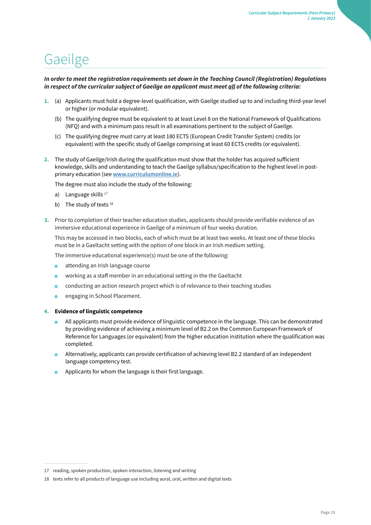### <span id="page-20-0"></span>Gaeilge

### **In order to meet the registration requirements set down in the Teaching Council (Registration) Regulations**  *in respect of the curricular subject of Gaeilge an applicant must meet all of the following criteria:*

- **1.** (a) Applicants must hold a degree-level qualification, with Gaeilge studied up to and including third-year level or higher (or modular equivalent).
	- (b) The qualifying degree must be equivalent to at least Level 8 on the National Framework of Qualifications (NFQ) and with a minimum pass result in all examinations pertinent to the subject of Gaeilge.
	- (c) The qualifying degree must carry at least 180 ECTS (European Credit Transfer System) credits (or equivalent) with the specific study of Gaeilge comprising at least 60 ECTS credits (or equivalent).
- **2.** The study of Gaeilge/Irish during the qualification must show that the holder has acquired sufficient knowledge, skills and understanding to teach the Gaeilge syllabus/specification to the highest level in postprimary education (se[e](http://www.curriculumonline.ie/) **[www.curriculumonline.ie](http://www.curriculumonline.ie/)**[\)](http://www.curriculumonline.ie/)[.](http://www.curriculumonline.ie/)

The degree must also include the study of the following:

- a) Language skills *<sup>17</sup>*
- b) The study of texts  $18$
- **3.** Prior to completion of their teacher education studies, applicants should provide verifiable evidence of an immersive educational experience in Gaeilge of a minimum of four weeks duration.

This may be accessed in two blocks, each of which must be at least two weeks. At least one of these blocks must be in a Gaeltacht setting with the option of one block in an Irish medium setting.

The immersive educational experience(s) must be one of the following:

- attending an Irish language course  $\ddot{\mathbf{o}}$
- $\bullet$ working as a staff member in an educational setting in the the Gaeltacht
- conducting an action research project which is of relevance to their teaching studies  $\circ$
- engaging in School Placement.  $\alpha$

#### **4. Evidence of linguistic competence**

- All applicants must provide evidence of linguistic competence in the language. This can be demonstrated by providing evidence of achieving a minimum level of B2.2 on the Common European Framework of Reference for Languages (or equivalent) from the higher education institution where the qualification was completed.
- Alternatively, applicants can provide certification of achieving level B2.2 standard of an independent language competency test.
- Applicants for whom the language is their first language.  $\bullet$

<sup>17</sup> reading, spoken production, spoken interaction, listening and writing

<sup>18</sup> texts refer to all products of language use including aural, oral, written and digital texts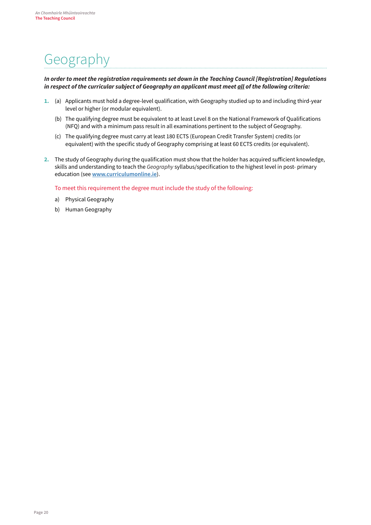# <span id="page-21-0"></span>Geography

### *In order to meet the registration requirements set down in the [Teaching Council \[Registration\] Regulations](http://www.teachingcouncil.ie/_fileupload/TC_Legislation/Registration_Regulations_2009_90665047.pdf) [in](http://www.teachingcouncil.ie/_fileupload/TC_Legislation/Registration_Regulations_2009_90665047.pdf) [re](http://www.teachingcouncil.ie/_fileupload/TC_Legislation/Registration_Regulations_2009_90665047.pdf)spect of the curricular subject of Geography an applicant must meet all of the following criteria:*

- **1.** (a) Applicants must hold a degree-level qualification, with Geography studied up to and including third-year level or higher (or modular equivalent).
	- (b) The qualifying degree must be equivalent to at least Level 8 on the National Framework of Qualifications (NFQ) and with a minimum pass result in all examinations pertinent to the subject of Geography.
	- (c) The qualifying degree must carry at least 180 ECTS (European Credit Transfer System) credits (or equivalent) with the specific study of Geography comprising at least 60 ECTS credits (or equivalent).
- **2.** The study of Geography during the qualification must show that the holder has acquired sufficient knowledge, skills and understanding to teach the *Geography* syllabus/specification to the highest level in post- primary education (see **[www.curriculumonline.ie](http://www.curriculumonline.ie/)**[\)](http://www.curriculumonline.ie/)[.](http://www.curriculumonline.ie/)

To meet this requirement the degree must include the study of the following:

- a) Physical Geography
- b) Human Geography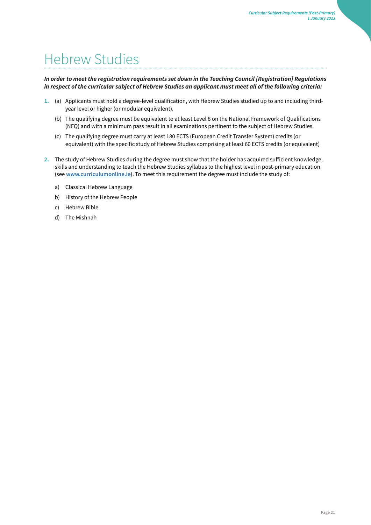### <span id="page-22-0"></span>Hebrew Studies

### *In order to meet the registration requirements set down in the [Teaching Council \[Registration\] Regulations](http://www.teachingcouncil.ie/_fileupload/TC_Legislation/Registration_Regulations_2009_90665047.pdf) [in](http://www.teachingcouncil.ie/_fileupload/TC_Legislation/Registration_Regulations_2009_90665047.pdf) [re](http://www.teachingcouncil.ie/_fileupload/TC_Legislation/Registration_Regulations_2009_90665047.pdf)spect of the curricular subject of Hebrew Studies an applicant must meet all of the following criteria:*

- **1.** (a) Applicants must hold a degree-level qualification, with Hebrew Studies studied up to and including thirdyear level or higher (or modular equivalent).
	- (b) The qualifying degree must be equivalent to at least Level 8 on the National Framework of Qualifications (NFQ) and with a minimum pass result in all examinations pertinent to the subject of Hebrew Studies.
	- (c) The qualifying degree must carry at least 180 ECTS (European Credit Transfer System) credits (or equivalent) with the specific study of Hebrew Studies comprising at least 60 ECTS credits (or equivalent)
- **2.** The study of Hebrew Studies during the degree must show that the holder has acquired sufficient knowledge, skills and understanding to teach the Hebrew Studies syllabus to the highest level in post-primary education (see **[www.curriculumonline.ie](http://www.curriculumonline.ie/)**[\)](http://www.curriculumonline.ie/)[.](http://www.curriculumonline.ie/) [T](http://www.curriculumonline.ie/)o meet this requirement the degree must include the study of:
	- a) Classical Hebrew Language
	- b) History of the Hebrew People
	- c) Hebrew Bible
	- d) The Mishnah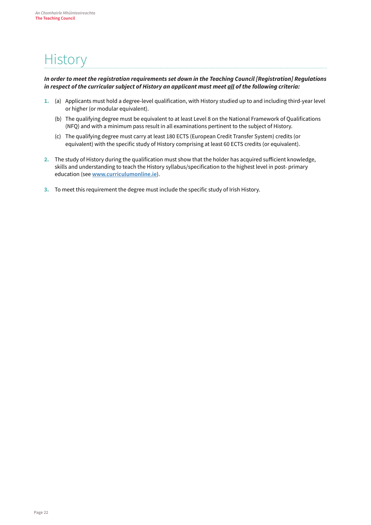### <span id="page-23-0"></span>**History**

### *In order to meet the registration requirements set down in the [Teaching Council \[Registration\] Regulations](http://www.teachingcouncil.ie/_fileupload/TC_Legislation/Registration_Regulations_2009_90665047.pdf) [in](http://www.teachingcouncil.ie/_fileupload/TC_Legislation/Registration_Regulations_2009_90665047.pdf) [re](http://www.teachingcouncil.ie/_fileupload/TC_Legislation/Registration_Regulations_2009_90665047.pdf)spect of the curricular subject of History an applicant must meet all of the following criteria:*

- **1.** (a) Applicants must hold a degree-level qualification, with History studied up to and including third-year level or higher (or modular equivalent).
	- (b) The qualifying degree must be equivalent to at least Level 8 on the National Framework of Qualifications (NFQ) and with a minimum pass result in all examinations pertinent to the subject of History.
	- (c) The qualifying degree must carry at least 180 ECTS (European Credit Transfer System) credits (or equivalent) with the specific study of History comprising at least 60 ECTS credits (or equivalent).
- **2.** The study of History during the qualification must show that the holder has acquired sufficient knowledge, skills and understanding to teach the History syllabus/specification to the highest level in post- primary education (see **[www.curriculumonline.ie](http://www.curriculumonline.ie/)**[\)](http://www.curriculumonline.ie/)[.](http://www.curriculumonline.ie/)
- **3.** To meet this requirement the degree must include the specific study of Irish History.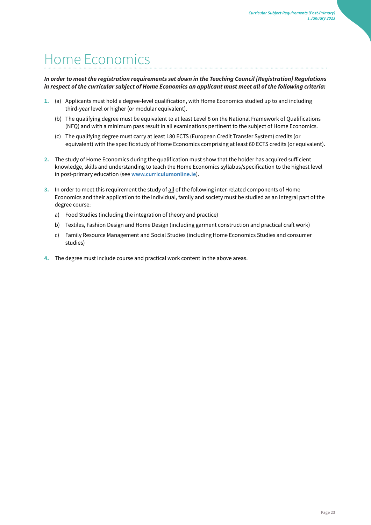### <span id="page-24-0"></span>Home Economics

### *In order to meet the registration requirements set down in the [Teaching Council \[Registration\] Regulations](http://www.teachingcouncil.ie/_fileupload/TC_Legislation/Registration_Regulations_2009_90665047.pdf) [in](http://www.teachingcouncil.ie/_fileupload/TC_Legislation/Registration_Regulations_2009_90665047.pdf) [re](http://www.teachingcouncil.ie/_fileupload/TC_Legislation/Registration_Regulations_2009_90665047.pdf)spect of the curricular subject of Home Economics an applicant must meet all of the following criteria:*

- **1.** (a) Applicants must hold a degree-level qualification, with Home Economics studied up to and including third-year level or higher (or modular equivalent).
	- (b) The qualifying degree must be equivalent to at least Level 8 on the National Framework of Qualifications (NFQ) and with a minimum pass result in all examinations pertinent to the subject of Home Economics.
	- (c) The qualifying degree must carry at least 180 ECTS (European Credit Transfer System) credits (or equivalent) with the specific study of Home Economics comprising at least 60 ECTS credits (or equivalent).
- **2.** The study of Home Economics during the qualification must show that the holder has acquired sufficient knowledge, skills and understanding to teach the Home Economics syllabus/specification to the highest level in post-primary education (see **[www.curriculumonline.ie](http://www.curriculumonline.ie/)**[\)](http://www.curriculumonline.ie/)[.](http://www.curriculumonline.ie/)
- **3.** In order to meet this requirement the study of all of the following inter-related components of Home Economics and their application to the individual, family and society must be studied as an integral part of the degree course:
	- a) Food Studies (including the integration of theory and practice)
	- b) Textiles, Fashion Design and Home Design (including garment construction and practical craft work)
	- c) Family Resource Management and Social Studies (including Home Economics Studies and consumer studies)
- **4.** The degree must include course and practical work content in the above areas.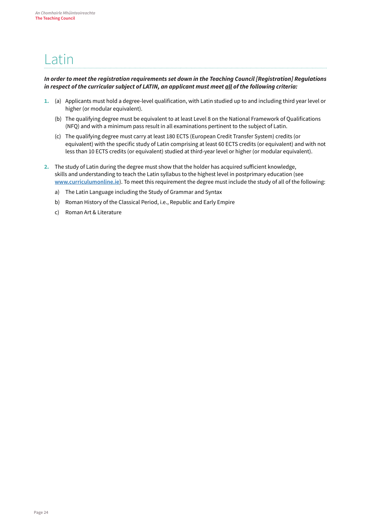### <span id="page-25-0"></span>Latin

### *In order to meet the registration requirements set down in the [Teaching Council \[Registration\] Regulations](http://www.teachingcouncil.ie/_fileupload/TC_Legislation/Registration_Regulations_2009_90665047.pdf) [in](http://www.teachingcouncil.ie/_fileupload/TC_Legislation/Registration_Regulations_2009_90665047.pdf) [re](http://www.teachingcouncil.ie/_fileupload/TC_Legislation/Registration_Regulations_2009_90665047.pdf)spect of the curricular subject of LATIN, an applicant must meet all of the following criteria:*

- **1.** (a) Applicants must hold a degree-level qualification, with Latin studied up to and including third year level or higher (or modular equivalent).
	- (b) The qualifying degree must be equivalent to at least Level 8 on the National Framework of Qualifications (NFQ) and with a minimum pass result in all examinations pertinent to the subject of Latin.
	- (c) The qualifying degree must carry at least 180 ECTS (European Credit Transfer System) credits (or equivalent) with the specific study of Latin comprising at least 60 ECTS credits (or equivalent) and with not less than 10 ECTS credits (or equivalent) studied at third-year level or higher (or modular equivalent).
- **2.** The study of Latin during the degree must show that the holder has acquired sufficient knowledge, skills and understanding to teach the Latin syllabus to the highest level in postprimary education (see **[www.curriculumonline.ie](http://www.curriculumonline.ie/)**[\)](http://www.curriculumonline.ie/)[.](http://www.curriculumonline.ie/) [T](http://www.curriculumonline.ie/)o meet this requirement the degree must include the study of all of the following:
	- a) The Latin Language including the Study of Grammar and Syntax
	- b) Roman History of the Classical Period, i.e., Republic and Early Empire
	- c) Roman Art & Literature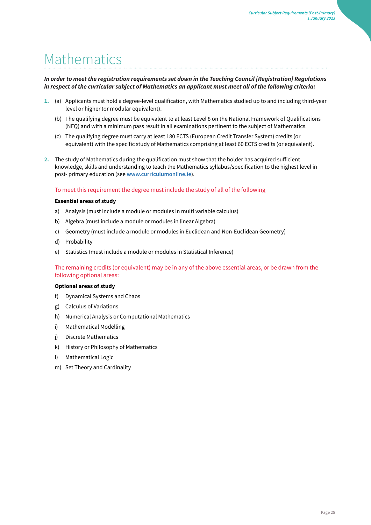### <span id="page-26-0"></span>**Mathematics**

### *In order to meet the registration requirements set down in the [Teaching Council \[Registration\] Regulations](http://www.teachingcouncil.ie/_fileupload/TC_Legislation/Registration_Regulations_2009_90665047.pdf) [in](http://www.teachingcouncil.ie/_fileupload/TC_Legislation/Registration_Regulations_2009_90665047.pdf) [re](http://www.teachingcouncil.ie/_fileupload/TC_Legislation/Registration_Regulations_2009_90665047.pdf)spect of the curricular subject of Mathematics an applicant must meet all of the following criteria:*

- **1.** (a) Applicants must hold a degree-level qualification, with Mathematics studied up to and including third-year level or higher (or modular equivalent).
	- (b) The qualifying degree must be equivalent to at least Level 8 on the National Framework of Qualifications (NFQ) and with a minimum pass result in all examinations pertinent to the subject of Mathematics.
	- (c) The qualifying degree must carry at least 180 ECTS (European Credit Transfer System) credits (or equivalent) with the specific study of Mathematics comprising at least 60 ECTS credits (or equivalent).
- **2.** The study of Mathematics during the qualification must show that the holder has acquired sufficient knowledge, skills and understanding to teach the Mathematics syllabus/specification to the highest level in post- primary education (se[e](http://www.curriculumonline.ie/) **[www.curriculumonline.ie](http://www.curriculumonline.ie/)**[\)](http://www.curriculumonline.ie/)[.](http://www.curriculumonline.ie/)

#### To meet this requirement the degree must include the study of all of the following

#### **Essential areas of study**

- a) Analysis (must include a module or modules in multi variable calculus)
- b) Algebra (must include a module or modules in linear Algebra)
- c) Geometry (must include a module or modules in Euclidean and Non-Euclidean Geometry)
- d) Probability
- e) Statistics (must include a module or modules in Statistical Inference)

The remaining credits (or equivalent) may be in any of the above essential areas, or be drawn from the following optional areas:

#### **Optional areas of study**

- f) Dynamical Systems and Chaos
- g) Calculus of Variations
- h) Numerical Analysis or Computational Mathematics
- i) Mathematical Modelling
- j) Discrete Mathematics
- k) History or Philosophy of Mathematics
- l) Mathematical Logic
- m) Set Theory and Cardinality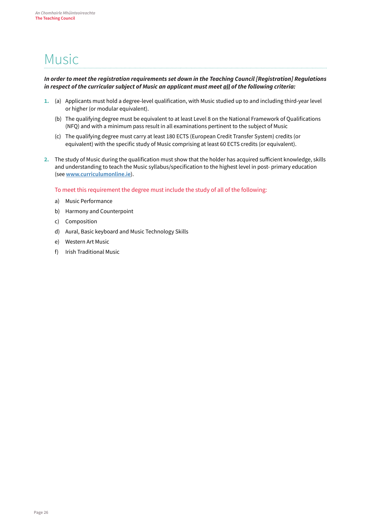### <span id="page-27-0"></span>Music

### *In order to meet the registration requirements set down in the [Teaching Council \[Registration\] Regulations](http://www.teachingcouncil.ie/_fileupload/TC_Legislation/Registration_Regulations_2009_90665047.pdf) [in](http://www.teachingcouncil.ie/_fileupload/TC_Legislation/Registration_Regulations_2009_90665047.pdf) [re](http://www.teachingcouncil.ie/_fileupload/TC_Legislation/Registration_Regulations_2009_90665047.pdf)spect of the curricular subject of Music an applicant must meet all of the following criteria:*

- **1.** (a) Applicants must hold a degree-level qualification, with Music studied up to and including third-year level or higher (or modular equivalent).
	- (b) The qualifying degree must be equivalent to at least Level 8 on the National Framework of Qualifications (NFQ) and with a minimum pass result in all examinations pertinent to the subject of Music
	- (c) The qualifying degree must carry at least 180 ECTS (European Credit Transfer System) credits (or equivalent) with the specific study of Music comprising at least 60 ECTS credits (or equivalent).
- **2.** The study of Music during the qualification must show that the holder has acquired sufficient knowledge, skills and understanding to teach the Music syllabus/specification to the highest level in post- primary education (see **[www.curriculumonline.ie](http://www.curriculumonline.ie/)**[\)](http://www.curriculumonline.ie/)[.](http://www.curriculumonline.ie/)

To meet this requirement the degree must include the study of all of the following:

- a) Music Performance
- b) Harmony and Counterpoint
- c) Composition
- d) Aural, Basic keyboard and Music Technology Skills
- e) Western Art Music
- f) Irish Traditional Music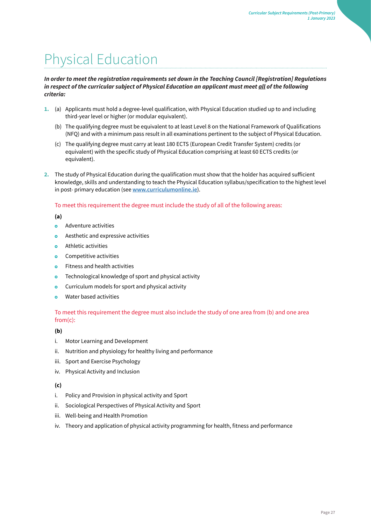# <span id="page-28-0"></span>Physical Education

### *In order to meet the registration requirements set down in th[e Teaching Council \[Registration\] Regulations](http://www.teachingcouncil.ie/_fileupload/TC_Legislation/Registration_Regulations_2009_90665047.pdf) [in](http://www.teachingcouncil.ie/_fileupload/TC_Legislation/Registration_Regulations_2009_90665047.pdf) [re](http://www.teachingcouncil.ie/_fileupload/TC_Legislation/Registration_Regulations_2009_90665047.pdf)spect of the curricular subject of Physical Education an applicant must meet all of the following criteria:*

- **1.** (a) Applicants must hold a degree-level qualification, with Physical Education studied up to and including third-year level or higher (or modular equivalent).
	- (b) The qualifying degree must be equivalent to at least Level 8 on the National Framework of Qualifications (NFQ) and with a minimum pass result in all examinations pertinent to the subject of Physical Education.
	- (c) The qualifying degree must carry at least 180 ECTS (European Credit Transfer System) credits (or equivalent) with the specific study of Physical Education comprising at least 60 ECTS credits (or equivalent).
- **2.** The study of Physical Education during the qualification must show that the holder has acquired sufficient knowledge, skills and understanding to teach the Physical Education syllabus/specification to the highest level in post- primary education (se[e](http://www.curriculumonline.ie/) **[www.curriculumonline.ie](http://www.curriculumonline.ie/)**[\)](http://www.curriculumonline.ie/)[.](http://www.curriculumonline.ie/)

### To meet this requirement the degree must include the study of all of the following areas:

#### **(a)**

- $\ddot{\mathbf{o}}$ Adventure activities
- $\ddot{\mathbf{o}}$ Aesthetic and expressive activities
- Athletic activities  $\bullet$
- Competitive activities  $\bullet$
- Fitness and health activities  $\bullet$
- Technological knowledge of sport and physical activity  $\circ$
- Curriculum models for sport and physical activity  $\circ$
- Water based activities  $\alpha$

### To meet this requirement the degree must also include the study of one area from (b) and one area from(c):

### **(b)**

- i. Motor Learning and Development
- ii. Nutrition and physiology for healthy living and performance
- iii. Sport and Exercise Psychology
- iv. Physical Activity and Inclusion

### **(c)**

- i. Policy and Provision in physical activity and Sport
- ii. Sociological Perspectives of Physical Activity and Sport
- iii. Well-being and Health Promotion
- iv. Theory and application of physical activity programming for health, fitness and performance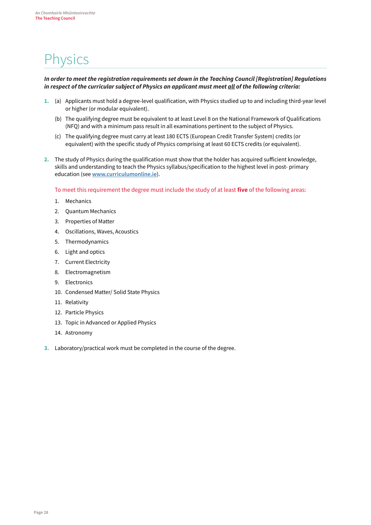### <span id="page-29-0"></span>**Physics**

#### *In order to meet the registration requirements set down in the [Teaching Council \[Registration\] Regulations](http://www.teachingcouncil.ie/_fileupload/TC_Legislation/Registration_Regulations_2009_90665047.pdf) [in](http://www.teachingcouncil.ie/_fileupload/TC_Legislation/Registration_Regulations_2009_90665047.pdf) [re](http://www.teachingcouncil.ie/_fileupload/TC_Legislation/Registration_Regulations_2009_90665047.pdf)spect of the curricular subject of Physics an applicant must meet all of the following criteria:*

- **1.** (a) Applicants must hold a degree-level qualification, with Physics studied up to and including third-year level or higher (or modular equivalent).
	- (b) The qualifying degree must be equivalent to at least Level 8 on the National Framework of Qualifications (NFQ) and with a minimum pass result in all examinations pertinent to the subject of Physics.
	- (c) The qualifying degree must carry at least 180 ECTS (European Credit Transfer System) credits (or equivalent) with the specific study of Physics comprising at least 60 ECTS credits (or equivalent).
- **2.** The study of Physics during the qualification must show that the holder has acquired sufficient knowledge, skills and understanding to teach the Physics syllabus/specification to the highest level in post- primary education (see **[www.curriculumonline.ie](http://www.curriculumonline.ie/)**[\)](http://www.curriculumonline.ie/)[.](http://www.curriculumonline.ie/)

To meet this requirement the degree must include the study of at least **five** of the following areas:

- 1. Mechanics
- 2. Quantum Mechanics
- 3. Properties of Matter
- 4. Oscillations, Waves, Acoustics
- 5. Thermodynamics
- 6. Light and optics
- 7. Current Electricity
- 8. Electromagnetism
- 9. Electronics
- 10. Condensed Matter/ Solid State Physics
- 11. Relativity
- 12. Particle Physics
- 13. Topic in Advanced or Applied Physics
- 14. Astronomy
- **3.** Laboratory/practical work must be completed in the course of the degree.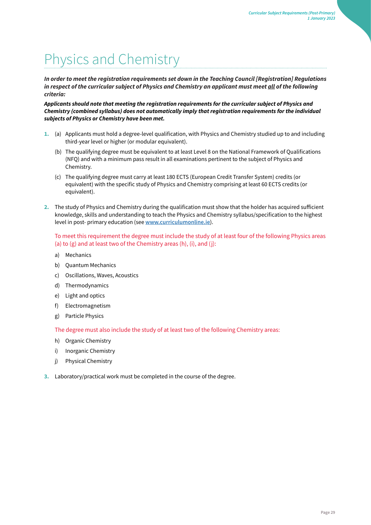# <span id="page-30-0"></span>Physics and Chemistry

*In order to meet the registration requirements set down in the [Teaching Council \[Registration\] Regulations](http://www.teachingcouncil.ie/_fileupload/TC_Legislation/Registration_Regulations_2009_90665047.pdf) [in](http://www.teachingcouncil.ie/_fileupload/TC_Legislation/Registration_Regulations_2009_90665047.pdf) [re](http://www.teachingcouncil.ie/_fileupload/TC_Legislation/Registration_Regulations_2009_90665047.pdf)spect of the curricular subject of Physics and Chemistry an applicant must meet all of the following criteria:* 

*Applicants should note that meeting the registration requirements for the curricular subject of Physics and*  **Chemistry (combined syllabus) does not automatically imply that registration requirements for the individual subjects of Physics or Chemistry have been met.** 

- **1.** (a) Applicants must hold a degree-level qualification, with Physics and Chemistry studied up to and including third-year level or higher (or modular equivalent).
	- (b) The qualifying degree must be equivalent to at least Level 8 on the National Framework of Qualifications (NFQ) and with a minimum pass result in all examinations pertinent to the subject of Physics and Chemistry.
	- (c) The qualifying degree must carry at least 180 ECTS (European Credit Transfer System) credits (or equivalent) with the specific study of Physics and Chemistry comprising at least 60 ECTS credits (or equivalent).
- **2.** The study of Physics and Chemistry during the qualification must show that the holder has acquired sufficient knowledge, skills and understanding to teach the Physics and Chemistry syllabus/specification to the highest level in post- primary education (see **[www.curriculumonline.ie](http://www.curriculumonline.ie/)**[\)](http://www.curriculumonline.ie/)[.](http://www.curriculumonline.ie/)

To meet this requirement the degree must include the study of at least four of the following Physics areas (a) to (g) and at least two of the Chemistry areas (h), (i), and (j):

- a) Mechanics
- b) Quantum Mechanics
- c) Oscillations, Waves, Acoustics
- d) Thermodynamics
- e) Light and optics
- f) Electromagnetism
- g) Particle Physics

The degree must also include the study of at least two of the following Chemistry areas:

- h) Organic Chemistry
- i) Inorganic Chemistry
- j) Physical Chemistry
- **3.** Laboratory/practical work must be completed in the course of the degree.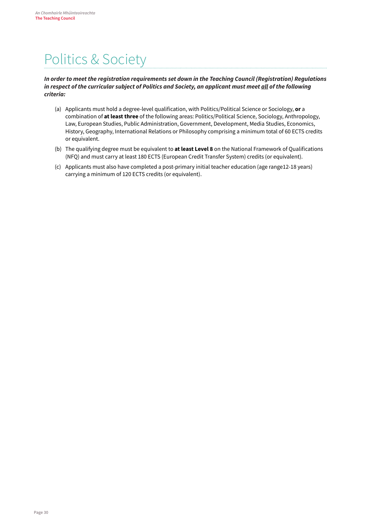### <span id="page-31-0"></span>Politics & Society

### **In order to meet the registration requirements set down in the Teaching Council (Registration) Regulations**  *i[n](http://www.teachingcouncil.ie/_fileupload/TC_Legislation/Registration_Regulations_2009_90665047.pdf) [re](http://www.teachingcouncil.ie/_fileupload/TC_Legislation/Registration_Regulations_2009_90665047.pdf)spect of the curricular subject of Politics and Society, an applicant must meet all of the following criteria:*

- (a) Applicants must hold a degree-level qualification, with Politics/Political Science or Sociology, **or** a combination of **at least three** of the following areas: Politics/Political Science, Sociology, Anthropology, Law, European Studies, Public Administration, Government, Development, Media Studies, Economics, History, Geography, International Relations or Philosophy comprising a minimum total of 60 ECTS credits or equivalent.
- (b) The qualifying degree must be equivalent to **at least Level 8** on the National Framework of Qualifications (NFQ) and must carry at least 180 ECTS (European Credit Transfer System) credits (or equivalent).
- (c) Applicants must also have completed a post-primary initial teacher education (age range12-18 years) carrying a minimum of 120 ECTS credits (or equivalent).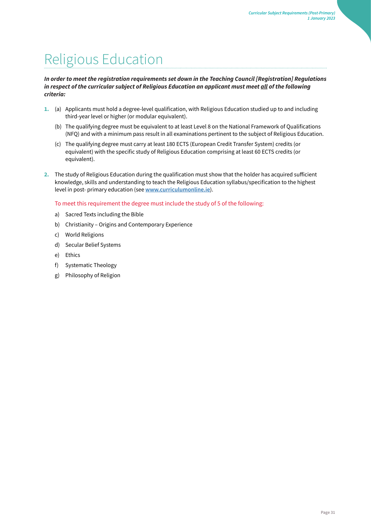### <span id="page-32-0"></span>Religious Education

### *In order to meet the registration requirements set down in the [Teaching Council \[Registration\] Regulations](http://www.teachingcouncil.ie/_fileupload/TC_Legislation/Registration_Regulations_2009_90665047.pdf) [in](http://www.teachingcouncil.ie/_fileupload/TC_Legislation/Registration_Regulations_2009_90665047.pdf) [re](http://www.teachingcouncil.ie/_fileupload/TC_Legislation/Registration_Regulations_2009_90665047.pdf)spect of the curricular subject of Religious Education an applicant must meet all of the following criteria:*

- **1.** (a) Applicants must hold a degree-level qualification, with Religious Education studied up to and including third-year level or higher (or modular equivalent).
	- (b) The qualifying degree must be equivalent to at least Level 8 on the National Framework of Qualifications (NFQ) and with a minimum pass result in all examinations pertinent to the subject of Religious Education.
	- (c) The qualifying degree must carry at least 180 ECTS (European Credit Transfer System) credits (or equivalent) with the specific study of Religious Education comprising at least 60 ECTS credits (or equivalent).
- **2.** The study of Religious Education during the qualification must show that the holder has acquired sufficient knowledge, skills and understanding to teach the Religious Education syllabus/specification to the highest level in post- primary education (see **[www.curriculumonline.ie](http://www.curriculumonline.ie/)**[\)](http://www.curriculumonline.ie/)[.](http://www.curriculumonline.ie/)

To meet this requirement the degree must include the study of 5 of the following:

- a) Sacred Texts including the Bible
- b) Christianity Origins and Contemporary Experience
- c) World Religions
- d) Secular Belief Systems
- e) Ethics
- f) Systematic Theology
- g) Philosophy of Religion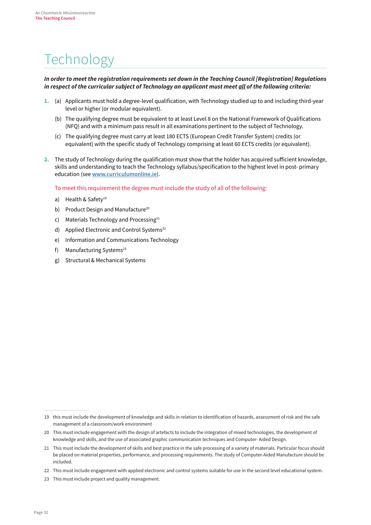### <span id="page-33-0"></span>**Technology**

### *In order to meet the registration requirements set down in the [Teaching Council \[Registration\] Regulations](http://www.teachingcouncil.ie/_fileupload/TC_Legislation/Registration_Regulations_2009_90665047.pdf) [in](http://www.teachingcouncil.ie/_fileupload/TC_Legislation/Registration_Regulations_2009_90665047.pdf) [re](http://www.teachingcouncil.ie/_fileupload/TC_Legislation/Registration_Regulations_2009_90665047.pdf)spect of the curricular subject of Technology an applicant must meet all of the following criteria:*

- **1.** (a) Applicants must hold a degree-level qualification, with Technology studied up to and including third-year level or higher (or modular equivalent).
	- (b) The qualifying degree must be equivalent to at least Level 8 on the National Framework of Qualifications (NFQ) and with a minimum pass result in all examinations pertinent to the subject of Technology.
	- (c) The qualifying degree must carry at least 180 ECTS (European Credit Transfer System) credits (or equivalent) with the specific study of Technology comprising at least 60 ECTS credits (or equivalent).
- **2.** The study of Technology during the qualification must show that the holder has acquired sufficient knowledge, skills and understanding to teach the Technology syllabus/specification to the highest level in post- primary education (see **[www.curriculumonline.ie](http://www.curriculumonline.ie/)**[\)](http://www.curriculumonline.ie/)[.](http://www.curriculumonline.ie/)

To meet this requirement the degree must include the study of all of the following:

- a) Health & Safety<sup>19</sup>
- b) Product Design and Manufacture<sup>20</sup>
- c) Materials Technology and Processing $21$
- d) Applied Electronic and Control Systems<sup>22</sup>
- e) Information and Communications Technology
- f) Manufacturing Systems<sup>23</sup>
- g) Structural & Mechanical Systems

<sup>19</sup> this must include the development of knowledge and skills in relation to identification of hazards, assessment of risk and the safe management of a classroom/work environment

<sup>20</sup> This must include engagement with the design of artefacts to include the integration of mixed technologies, the development of knowledge and skills, and the use of associated graphic communication techniques and Computer- Aided Design.

<sup>21</sup> This must include the development of skills and best practice in the safe processing of a variety of materials. Particular focus should be placed on material properties, performance, and processing requirements. The study of Computer-Aided Manufacture should be included.

<sup>22</sup> This must include engagement with applied electronic and control systems suitable for use in the second level educational system.

<sup>23</sup> This must include project and quality management.